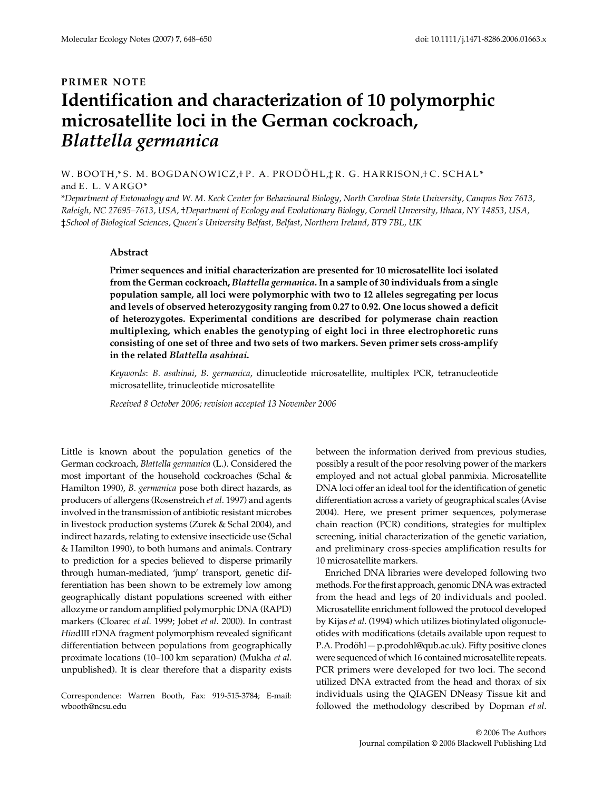## **PRIMER NOTE Identification and characterization of 10 polymorphic microsatellite loci in the German cockroach,**  *Blattella germanica*

W. BOOTH,\*S. M. BOGDANOWICZ, F. A. PRODÖHL, FR. G. HARRISON, I C. SCHAL\* and E. L. VARGO\*

\**Department of Entomology and W. M. Keck Center for Behavioural Biology, North Carolina State University, Campus Box 7613, Raleigh, NC 27695–7613, USA,* †*Department of Ecology and Evolutionary Biology, Cornell Unversity, Ithaca, NY 14853, USA,*  ‡*School of Biological Sciences, Queen's University Belfast, Belfast, Northern Ireland, BT9 7BL, UK* 

## **Abstract**

**Primer sequences and initial characterization are presented for 10 microsatellite loci isolated from the German cockroach,** *Blattella germanica***. In a sample of 30 individuals from a single population sample, all loci were polymorphic with two to 12 alleles segregating per locus and levels of observed heterozygosity ranging from 0.27 to 0.92. One locus showed a deficit of heterozygotes. Experimental conditions are described for polymerase chain reaction multiplexing, which enables the genotyping of eight loci in three electrophoretic runs consisting of one set of three and two sets of two markers. Seven primer sets cross-amplify in the related** *Blattella asahinai***.**

*Keywords*: *B. asahinai*, *B. germanica*, dinucleotide microsatellite, multiplex PCR, tetranucleotide microsatellite, trinucleotide microsatellite

*Received 8 October 2006; revision accepted 13 November 2006*

Little is known about the population genetics of the German cockroach, *Blattella germanica* (L.). Considered the most important of the household cockroaches (Schal & Hamilton 1990), *B. germanica* pose both direct hazards, as producers of allergens (Rosenstreich *et al*. 1997) and agents involved in the transmission of antibiotic resistant microbes in livestock production systems (Zurek & Schal 2004), and indirect hazards, relating to extensive insecticide use (Schal & Hamilton 1990), to both humans and animals. Contrary to prediction for a species believed to disperse primarily through human-mediated, 'jump' transport, genetic differentiation has been shown to be extremely low among geographically distant populations screened with either allozyme or random amplified polymorphic DNA (RAPD) markers (Cloarec *et al*. 1999; Jobet *et al*. 2000). In contrast *Hin*dIII rDNA fragment polymorphism revealed significant differentiation between populations from geographically proximate locations (10–100 km separation) (Mukha *et al*. unpublished). It is clear therefore that a disparity exists

Correspondence: Warren Booth, Fax: 919-515-3784; E-mail: wbooth@ncsu.edu

between the information derived from previous studies, possibly a result of the poor resolving power of the markers employed and not actual global panmixia. Microsatellite DNA loci offer an ideal tool for the identification of genetic differentiation across a variety of geographical scales (Avise 2004). Here, we present primer sequences, polymerase chain reaction (PCR) conditions, strategies for multiplex screening, initial characterization of the genetic variation, and preliminary cross-species amplification results for 10 microsatellite markers.

Enriched DNA libraries were developed following two methods. For the first approach, genomic DNA was extracted from the head and legs of 20 individuals and pooled. Microsatellite enrichment followed the protocol developed by Kijas *et al*. (1994) which utilizes biotinylated oligonucleotides with modifications (details available upon request to P.A. Prodöhl — p.prodohl@qub.ac.uk). Fifty positive clones were sequenced of which 16 contained microsatellite repeats. PCR primers were developed for two loci. The second utilized DNA extracted from the head and thorax of six individuals using the QIAGEN DNeasy Tissue kit and followed the methodology described by Dopman *et al*.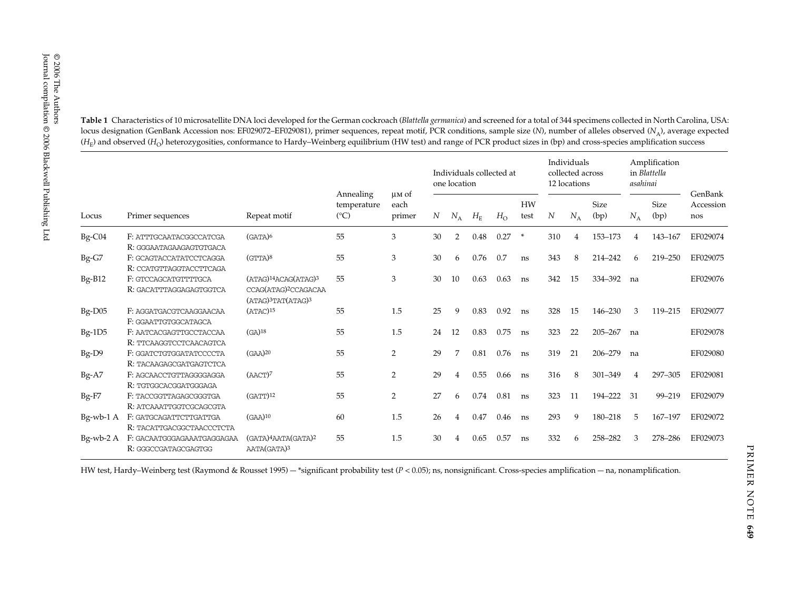E 2006<br>
Table 1 Characteristics of 10 microsatellite DNA loci developed for the German cockroach (*Blattella germanica*) and screened for a total of 344 specimens collected in North Carolina, USA:<br>
(*H<sub>a</sub>*) and observed ( Locus Primer sequences Repeat motif Annealing temperature  $(^{\circ}C)$ µm of each primer Individuals collected at one locationIndividuals collected across 12 locationsAmplification in *Blattella asahinai*GenBank Accession *NN*  $N_A$   $H_F$   $H_O$  test *N*  $N_A$  (bp)  $N_A$  (bp) nos  $N_A$  *H*<sub>E</sub> *H*<sub>O</sub> HW test *N* $N_A$ Size (bp)  $N_A$ Size (bp) Bg-C04 F: ATTTGCAATACGGCCATCGA (GATA)6 <sup>55</sup> <sup>3</sup> 30 <sup>2</sup> 0.48 0.27 \* 310 <sup>4</sup> 153–173 <sup>4</sup> 143–167 EF029074 R: GGGAATAGAAGAGTGTGACABg-G7 F: GCAGTACCATATCCTCAGGA (GTTA)8 <sup>55</sup> <sup>3</sup> 30 <sup>6</sup> 0.76 0.7 ns <sup>343</sup> <sup>8</sup> 214–242 <sup>6</sup> 219–250 EF029075 R: CCATGTTAGGTACCTTCAGABg-B12 F: GTCCAGCATGTTTTGCA (ATAG)<sup>14</sup>ACAG(ATAG)<sup>3</sup> CCAG(ATAG)2CCAGACAA  $(ATAG)$ <sup>3</sup>TAT $(ATAG)$ <sup>3</sup> 55 3 30 10 0.63 0.63 ns 342 15 334–392 na EF029076R: GACATTTAGGAGAGTGGTCA Bg-D05 F: AGGATGACGTCAAGGAACAA (ATAC)<sup>15</sup> 55 1.5 25 9 0.83 0.92 ns 328 15 146-230 3 119-215 EF029077 F: GGAATTGTGGCATAGCABg-1D5 F: AATCACGAGTTGCCTACCAA (GA)18 <sup>55</sup> 1.5 <sup>24</sup> <sup>12</sup> 0.83 0.75 ns <sup>323</sup> <sup>22</sup> 205–267 na EF029078 R: TTCAAGGTCCTCAACAGTCABg-D9 F: GGATCTGTGGATATCCCCTA (GAA)20 <sup>55</sup> <sup>2</sup> <sup>29</sup> <sup>7</sup> 0.81 0.76 ns <sup>319</sup> <sup>21</sup> 206–279 na EF029080 R: TACAAGAGCGATGAGTCTCA Bg-A7 F: AGCAACCTGTTAGGGGAGGA (AACT)7 <sup>55</sup> <sup>2</sup> <sup>29</sup> <sup>4</sup> 0.55 0.66 ns <sup>316</sup> <sup>8</sup> 301–349 <sup>4</sup> 297–305 EF029081 R: TGTGGCACGGATGGGAGA Bg-F7 F: TACCGGTTAGAGCGGGTGA (GATT)12 <sup>55</sup> <sup>2</sup> <sup>27</sup> <sup>6</sup> 0.74 0.81 ns <sup>323</sup> <sup>11</sup> 194–222 <sup>31</sup> 99–219 EF029079 R: ATCAAATTGGTCGCAGCGTA Bg-wb-1 A F: GATGCAGATTCTTGATTGA (GAA)10 60 1.5 <sup>26</sup> <sup>4</sup> 0.47 0.46 ns <sup>293</sup> <sup>9</sup> 180–218 <sup>5</sup> 167–197 EF029072 R: TACATTGACGGCTAACCCTCTA Bg-wb-2 A F: GACAATGGGAGAAATGAGGAGAA (GATA)4AATA(GATA)2 AATA(GATA)3 55 1.5 30 4 0.65 0.57 ns 332 6 258–282 3 278–286 EF029073R: GGGCCGATAGCGAGTGG

locus designation (GenBank Accession nos: EF029072–EF029081), primer sequences, repeat motif, PCR conditions, sample size (*N*), number of alleles observed (*N*A), average expected  $(H_F)$  and observed  $(H_O)$  heterozygosities, conformance to Hardy–Weinberg equilibrium (HW test) and range of PCR product sizes in (bp) and cross-species amplification success

HW test, Hardy–Weinberg test (Raymond & Rousset 1995) — \*significant probability test (*P <* 0.05); ns, nonsignificant. Cross-species amplification — na, nonamplification.